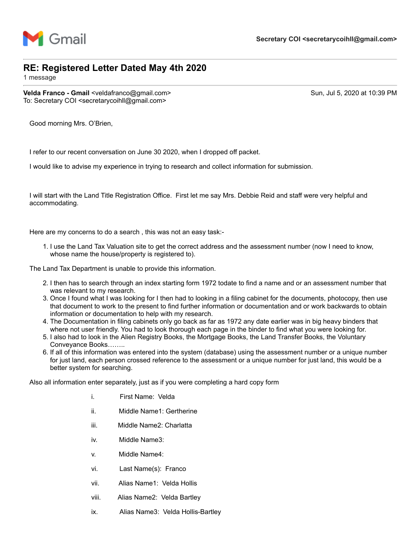

## **RE: Registered Letter Dated May 4th 2020**

1 message

**Velda Franco - Gmail** <veldafranco@gmail.com> Sun, Jul 5, 2020 at 10:39 PM To: Secretary COI <secretarycoihll@gmail.com>

Good morning Mrs. O'Brien,

I refer to our recent conversation on June 30 2020, when I dropped off packet.

I would like to advise my experience in trying to research and collect information for submission.

I will start with the Land Title Registration Office. First let me say Mrs. Debbie Reid and staff were very helpful and accommodating.

Here are my concerns to do a search , this was not an easy task:-

1. I use the Land Tax Valuation site to get the correct address and the assessment number (now I need to know, whose name the house/property is registered to).

The Land Tax Department is unable to provide this information.

- 2. I then has to search through an index starting form 1972 todate to find a name and or an assessment number that was relevant to my research.
- 3. Once I found what I was looking for I then had to looking in a filing cabinet for the documents, photocopy, then use that document to work to the present to find further information or documentation and or work backwards to obtain information or documentation to help with my research.
- 4. The Documentation in filing cabinets only go back as far as 1972 any date earlier was in big heavy binders that where not user friendly. You had to look thorough each page in the binder to find what you were looking for.
- 5. I also had to look in the Alien Registry Books, the Mortgage Books, the Land Transfer Books, the Voluntary Conveyance Books……..
- 6. If all of this information was entered into the system (database) using the assessment number or a unique number for just land, each person crossed reference to the assessment or a unique number for just land, this would be a better system for searching.

Also all information enter separately, just as if you were completing a hard copy form

- i. First Name: Velda
- ii. Middle Name1: Gertherine
- iii. Middle Name2: Charlatta
- iv. Middle Name3:
- v. Middle Name4:
- vi. Last Name(s): Franco
- vii. Alias Name1: Velda Hollis
- viii. Alias Name2: Velda Bartley
- ix. Alias Name3: Velda Hollis-Bartley